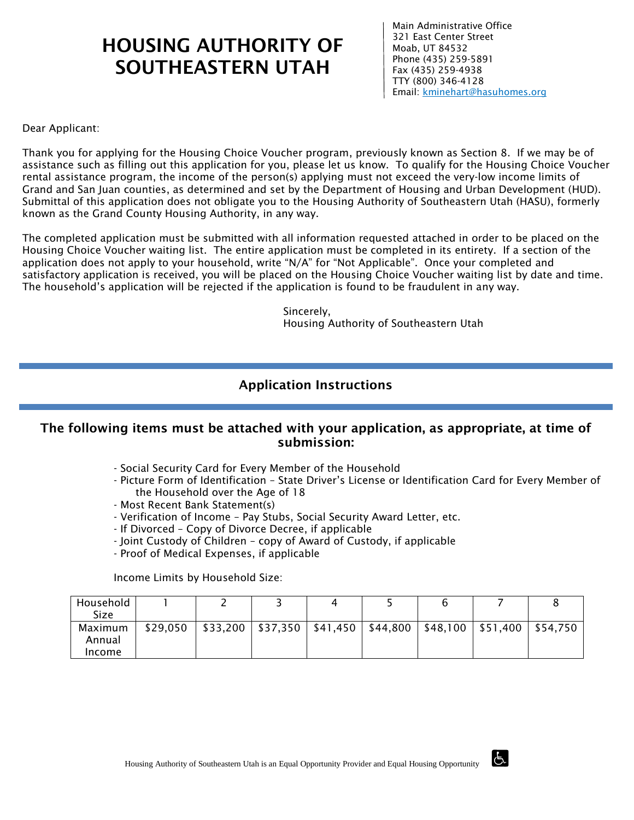# HOUSING AUTHORITY OF SOUTHEASTERN UTAH

Main Administrative Office 321 East Center Street Moab, UT 84532 Phone (435) 259-5891 Fax (435) 259-4938 TTY (800) 346-4128 Email: kminehart@hasuhomes.org

Dear Applicant:

Thank you for applying for the Housing Choice Voucher program, previously known as Section 8. If we may be of assistance such as filling out this application for you, please let us know. To qualify for the Housing Choice Voucher rental assistance program, the income of the person(s) applying must not exceed the very-low income limits of Grand and San Juan counties, as determined and set by the Department of Housing and Urban Development (HUD). Submittal of this application does not obligate you to the Housing Authority of Southeastern Utah (HASU), formerly known as the Grand County Housing Authority, in any way.

The completed application must be submitted with all information requested attached in order to be placed on the Housing Choice Voucher waiting list. The entire application must be completed in its entirety. If a section of the application does not apply to your household, write "N/A" for "Not Applicable". Once your completed and satisfactory application is received, you will be placed on the Housing Choice Voucher waiting list by date and time. The household's application will be rejected if the application is found to be fraudulent in any way.

> Sincerely, Housing Authority of Southeastern Utah

### Application Instructions

### The following items must be attached with your application, as appropriate, at time of submission:

- Social Security Card for Every Member of the Household
- Picture Form of Identification State Driver's License or Identification Card for Every Member of the Household over the Age of 18
- Most Recent Bank Statement(s)
- Verification of Income Pay Stubs, Social Security Award Letter, etc.
- If Divorced Copy of Divorce Decree, if applicable
- Joint Custody of Children copy of Award of Custody, if applicable
- Proof of Medical Expenses, if applicable

Income Limits by Household Size:

| Household<br>Size           |          |  |  |                                                                            |  |
|-----------------------------|----------|--|--|----------------------------------------------------------------------------|--|
| Maximum<br>Annual<br>Income | \$29,050 |  |  | \$33,200   \$37,350   \$41,450   \$44,800   \$48,100   \$51,400   \$54,750 |  |

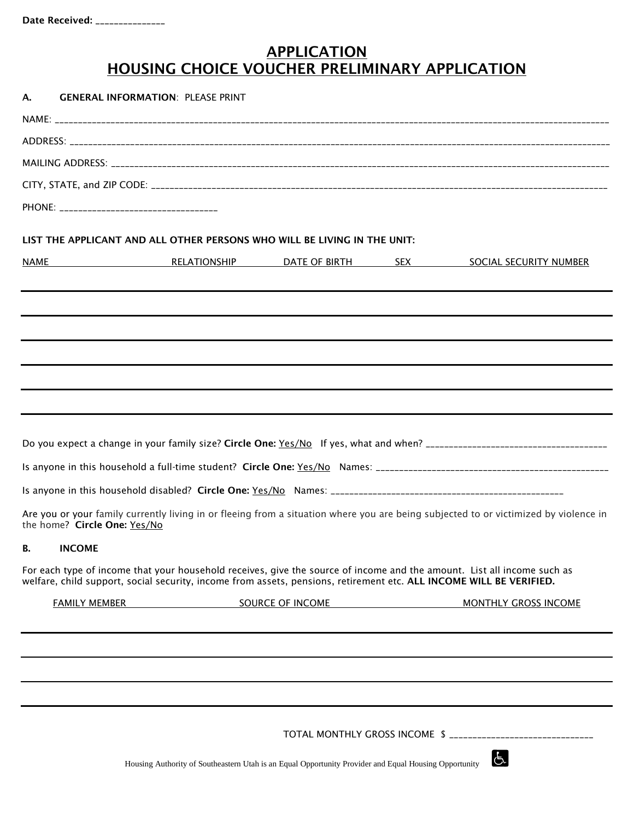## **APPLICATION** HOUSING CHOICE VOUCHER PRELIMINARY APPLICATION

| А.   | <b>GENERAL INFORMATION: PLEASE PRINT</b> |                                                                          |                                                                                                                                                                                                                                                |
|------|------------------------------------------|--------------------------------------------------------------------------|------------------------------------------------------------------------------------------------------------------------------------------------------------------------------------------------------------------------------------------------|
|      |                                          |                                                                          |                                                                                                                                                                                                                                                |
|      |                                          |                                                                          |                                                                                                                                                                                                                                                |
|      |                                          |                                                                          |                                                                                                                                                                                                                                                |
|      |                                          |                                                                          |                                                                                                                                                                                                                                                |
|      |                                          |                                                                          |                                                                                                                                                                                                                                                |
|      |                                          | LIST THE APPLICANT AND ALL OTHER PERSONS WHO WILL BE LIVING IN THE UNIT: |                                                                                                                                                                                                                                                |
| NAME |                                          |                                                                          | <b>RELATIONSHIP BATE OF BIRTH SEX SOCIAL SECURITY NUMBER</b>                                                                                                                                                                                   |
|      |                                          |                                                                          |                                                                                                                                                                                                                                                |
|      |                                          |                                                                          |                                                                                                                                                                                                                                                |
|      |                                          |                                                                          |                                                                                                                                                                                                                                                |
|      |                                          |                                                                          |                                                                                                                                                                                                                                                |
|      |                                          |                                                                          |                                                                                                                                                                                                                                                |
|      |                                          |                                                                          |                                                                                                                                                                                                                                                |
|      |                                          |                                                                          |                                                                                                                                                                                                                                                |
|      |                                          |                                                                          |                                                                                                                                                                                                                                                |
|      |                                          |                                                                          |                                                                                                                                                                                                                                                |
|      | the home? Circle One: Yes/No             |                                                                          | Are you or your family currently living in or fleeing from a situation where you are being subjected to or victimized by violence in                                                                                                           |
| В.   | <b>INCOME</b>                            |                                                                          |                                                                                                                                                                                                                                                |
|      |                                          |                                                                          | For each type of income that your household receives, give the source of income and the amount. List all income such as<br>welfare, child support, social security, income from assets, pensions, retirement etc. ALL INCOME WILL BE VERIFIED. |
|      | <b>FAMILY MEMBER</b>                     | SOURCE OF INCOME                                                         | <b>MONTHLY GROSS INCOME</b>                                                                                                                                                                                                                    |
|      |                                          |                                                                          |                                                                                                                                                                                                                                                |
|      |                                          |                                                                          |                                                                                                                                                                                                                                                |
|      |                                          |                                                                          |                                                                                                                                                                                                                                                |
|      |                                          |                                                                          |                                                                                                                                                                                                                                                |
|      |                                          |                                                                          |                                                                                                                                                                                                                                                |
|      |                                          |                                                                          | TOTAL MONTHLY GROSS INCOME \$ ________________________________                                                                                                                                                                                 |

 $\overline{d}$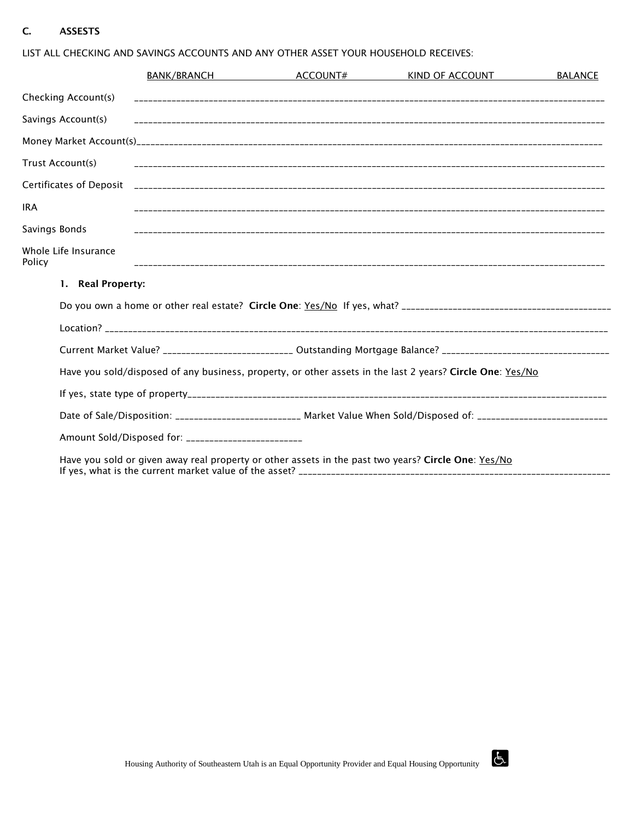#### C. ASSESTS

|                                |                   | BANK/BRANCH                                         | ACCOUNT# | KIND OF ACCOUNT                                                                                                     | <b>BALANCE</b> |
|--------------------------------|-------------------|-----------------------------------------------------|----------|---------------------------------------------------------------------------------------------------------------------|----------------|
| Checking Account(s)            |                   |                                                     |          |                                                                                                                     |                |
| Savings Account(s)             |                   |                                                     |          |                                                                                                                     |                |
|                                |                   |                                                     |          |                                                                                                                     |                |
| Trust Account(s)               |                   |                                                     |          |                                                                                                                     |                |
|                                |                   |                                                     |          |                                                                                                                     |                |
| <b>IRA</b>                     |                   |                                                     |          |                                                                                                                     |                |
| Savings Bonds                  |                   |                                                     |          |                                                                                                                     |                |
| Whole Life Insurance<br>Policy |                   |                                                     |          |                                                                                                                     |                |
|                                | 1. Real Property: |                                                     |          |                                                                                                                     |                |
|                                |                   |                                                     |          |                                                                                                                     |                |
|                                |                   |                                                     |          |                                                                                                                     |                |
|                                |                   |                                                     |          | Current Market Value? _________________________ Outstanding Mortgage Balance? ________________________________      |                |
|                                |                   |                                                     |          | Have you sold/disposed of any business, property, or other assets in the last 2 years? Circle One: Yes/No           |                |
|                                |                   |                                                     |          |                                                                                                                     |                |
|                                |                   |                                                     |          | Date of Sale/Disposition: __________________________ Market Value When Sold/Disposed of: __________________________ |                |
|                                |                   | Amount Sold/Disposed for: _________________________ |          |                                                                                                                     |                |
|                                |                   |                                                     |          | Here you call an above array and was a subject when a safe in the work for your $\Omega$ Chale One. Ver We          |                |

LIST ALL CHECKING AND SAVINGS ACCOUNTS AND ANY OTHER ASSET YOUR HOUSEHOLD RECEIVES:

Have you sold or given away real property or other assets in the past two years? Circle One: Yes/No If yes, what is the current market value of the asset? \_\_\_\_\_\_\_\_\_\_\_\_\_\_\_\_\_\_\_\_\_\_\_\_\_\_

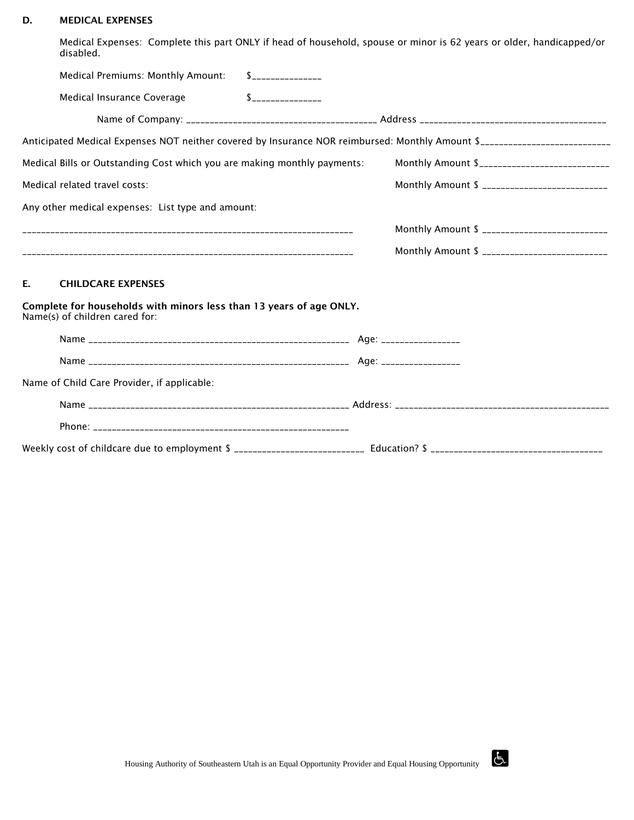#### D. MEDICAL EXPENSES

Medical Expenses: Complete this part ONLY if head of household, spouse or minor is 62 years or older, handicapped/or disabled.

| Medical Premiums: Monthly Amount:                                                                     | $\sim$                                                                                                                  |
|-------------------------------------------------------------------------------------------------------|-------------------------------------------------------------------------------------------------------------------------|
| Medical Insurance Coverage                                                                            | $S$ ________________                                                                                                    |
|                                                                                                       |                                                                                                                         |
|                                                                                                       | Anticipated Medical Expenses NOT neither covered by Insurance NOR reimbursed: Monthly Amount \$________________________ |
| Medical Bills or Outstanding Cost which you are making monthly payments:                              | Monthly Amount \$______________________________                                                                         |
| Medical related travel costs:                                                                         | Monthly Amount \$ ____________________________                                                                          |
| Any other medical expenses: List type and amount:                                                     |                                                                                                                         |
|                                                                                                       | Monthly Amount \$ _____________________________                                                                         |
|                                                                                                       | Monthly Amount \$ ____________________________                                                                          |
| E.<br><b>CHILDCARE EXPENSES</b>                                                                       |                                                                                                                         |
| Complete for households with minors less than 13 years of age ONLY.<br>Name(s) of children cared for: |                                                                                                                         |
|                                                                                                       |                                                                                                                         |
|                                                                                                       |                                                                                                                         |
| Name of Child Care Provider, if applicable:                                                           |                                                                                                                         |
|                                                                                                       |                                                                                                                         |

| Phone.                                        |  |
|-----------------------------------------------|--|
| Weekly cost of childcare due to employment \$ |  |

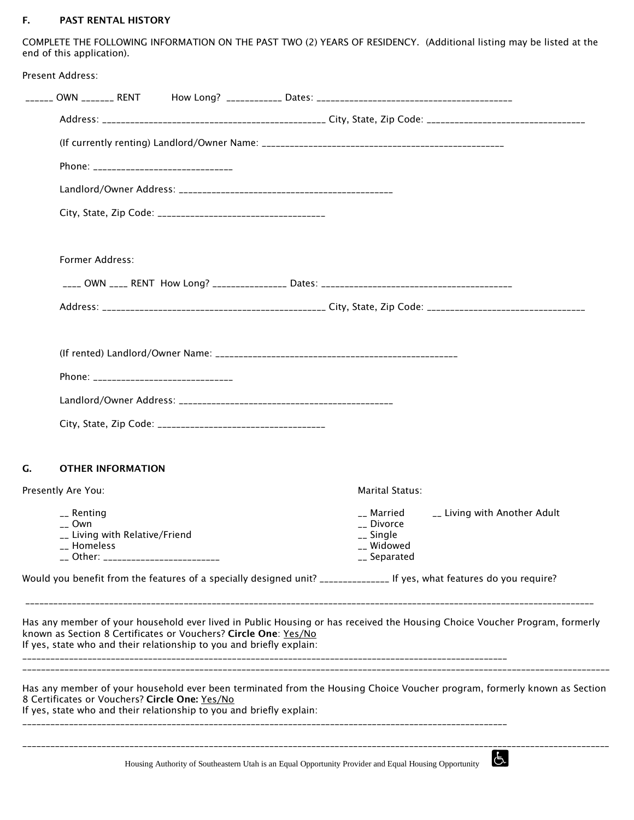#### F. PAST RENTAL HISTORY

COMPLETE THE FOLLOWING INFORMATION ON THE PAST TWO (2) YEARS OF RESIDENCY. (Additional listing may be listed at the end of this application).

|    | Present Address:                                                                                                                        |                                                                                                       |                                                                     |                                                                                                                            |
|----|-----------------------------------------------------------------------------------------------------------------------------------------|-------------------------------------------------------------------------------------------------------|---------------------------------------------------------------------|----------------------------------------------------------------------------------------------------------------------------|
|    |                                                                                                                                         |                                                                                                       |                                                                     |                                                                                                                            |
|    |                                                                                                                                         |                                                                                                       |                                                                     |                                                                                                                            |
|    |                                                                                                                                         |                                                                                                       |                                                                     |                                                                                                                            |
|    |                                                                                                                                         |                                                                                                       |                                                                     |                                                                                                                            |
|    |                                                                                                                                         |                                                                                                       |                                                                     |                                                                                                                            |
|    |                                                                                                                                         |                                                                                                       |                                                                     |                                                                                                                            |
|    | Former Address:                                                                                                                         |                                                                                                       |                                                                     |                                                                                                                            |
|    |                                                                                                                                         |                                                                                                       |                                                                     |                                                                                                                            |
|    |                                                                                                                                         |                                                                                                       |                                                                     |                                                                                                                            |
|    |                                                                                                                                         |                                                                                                       |                                                                     |                                                                                                                            |
|    |                                                                                                                                         |                                                                                                       |                                                                     |                                                                                                                            |
|    |                                                                                                                                         |                                                                                                       |                                                                     |                                                                                                                            |
|    |                                                                                                                                         |                                                                                                       |                                                                     |                                                                                                                            |
|    |                                                                                                                                         |                                                                                                       |                                                                     |                                                                                                                            |
|    |                                                                                                                                         |                                                                                                       |                                                                     |                                                                                                                            |
| G. | <b>OTHER INFORMATION</b>                                                                                                                |                                                                                                       |                                                                     |                                                                                                                            |
|    | Presently Are You:                                                                                                                      |                                                                                                       | Marital Status:                                                     |                                                                                                                            |
|    | $-$ Renting<br>__ Own<br>__ Living with Relative/Friend<br>__ Homeless<br>__ Other: _________________________                           |                                                                                                       | __ Married<br>__ Divorce<br>__ Single<br>__ Widowed<br>__ Separated | __ Living with Another Adult                                                                                               |
|    | Would you benefit from the features of a specially designed unit? ________________ If yes, what features do you require?                |                                                                                                       |                                                                     |                                                                                                                            |
|    | known as Section 8 Certificates or Vouchers? Circle One: Yes/No<br>If yes, state who and their relationship to you and briefly explain: |                                                                                                       |                                                                     | Has any member of your household ever lived in Public Housing or has received the Housing Choice Voucher Program, formerly |
|    | 8 Certificates or Vouchers? Circle One: Yes/No<br>If yes, state who and their relationship to you and briefly explain:                  |                                                                                                       |                                                                     | Has any member of your household ever been terminated from the Housing Choice Voucher program, formerly known as Section   |
|    |                                                                                                                                         | Housing Authority of Southeastern Utah is an Equal Opportunity Provider and Equal Housing Opportunity |                                                                     | Ġ.                                                                                                                         |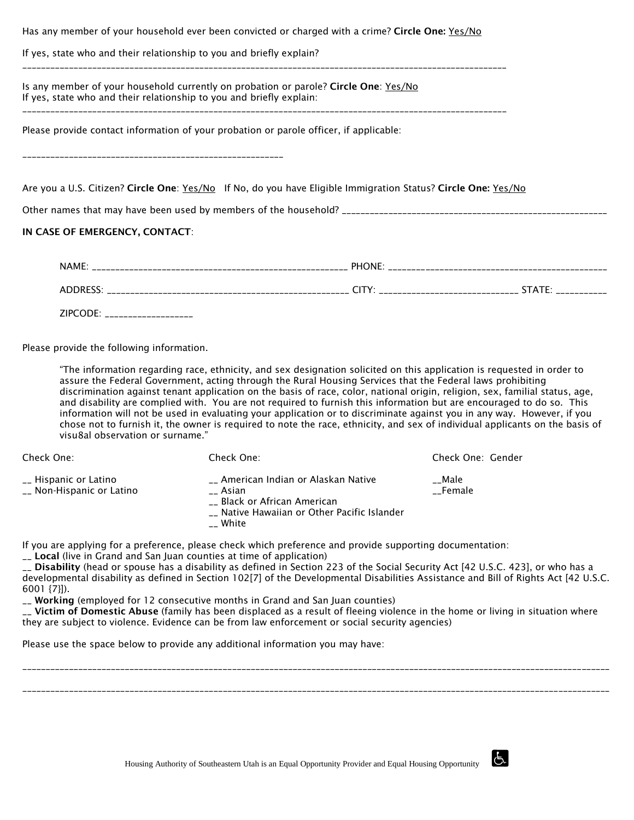|                                                                                                                                                              | Has any member of your household ever been convicted or charged with a crime? Circle One: Yes/No              |
|--------------------------------------------------------------------------------------------------------------------------------------------------------------|---------------------------------------------------------------------------------------------------------------|
| If yes, state who and their relationship to you and briefly explain?                                                                                         |                                                                                                               |
| Is any member of your household currently on probation or parole? Circle One: Yes/No<br>If yes, state who and their relationship to you and briefly explain: |                                                                                                               |
| Please provide contact information of your probation or parole officer, if applicable:                                                                       |                                                                                                               |
|                                                                                                                                                              | Are you a U.S. Citizen? Circle One: Yes/No If No, do you have Eligible Immigration Status? Circle One: Yes/No |
| IN CASE OF EMERGENCY, CONTACT:                                                                                                                               |                                                                                                               |
|                                                                                                                                                              |                                                                                                               |
|                                                                                                                                                              |                                                                                                               |

ADDRESS: \_\_\_\_\_\_\_\_\_\_\_\_\_\_\_\_\_\_\_\_\_\_\_\_\_\_\_\_\_\_\_\_\_\_\_\_\_\_\_\_\_\_\_\_\_\_\_\_\_\_\_\_ CITY: \_\_\_\_\_\_\_\_\_\_\_\_\_\_\_\_\_\_\_\_\_\_\_\_\_\_\_\_\_\_ STATE: \_\_\_\_\_\_\_\_\_\_\_

ZIPCODE: \_\_\_\_\_\_\_\_\_\_\_\_\_\_\_\_\_\_\_

Please provide the following information.

"The information regarding race, ethnicity, and sex designation solicited on this application is requested in order to assure the Federal Government, acting through the Rural Housing Services that the Federal laws prohibiting discrimination against tenant application on the basis of race, color, national origin, religion, sex, familial status, age, and disability are complied with. You are not required to furnish this information but are encouraged to do so. This information will not be used in evaluating your application or to discriminate against you in any way. However, if you chose not to furnish it, the owner is required to note the race, ethnicity, and sex of individual applicants on the basis of visu8al observation or surname."

| Check One:                                         | Check One:                                                                                                                                | Check One: Gender |
|----------------------------------------------------|-------------------------------------------------------------------------------------------------------------------------------------------|-------------------|
| __ Hispanic or Latino<br>__ Non-Hispanic or Latino | __ American Indian or Alaskan Native<br>__ Asian<br>__ Black or African American<br>__ Native Hawaiian or Other Pacific Islander<br>White | Male<br>Female    |

If you are applying for a preference, please check which preference and provide supporting documentation:

\_\_ Local (live in Grand and San Juan counties at time of application)

\_\_ Disability (head or spouse has a disability as defined in Section 223 of the Social Security Act [42 U.S.C. 423], or who has a developmental disability as defined in Section 102[7] of the Developmental Disabilities Assistance and Bill of Rights Act [42 U.S.C. 6001 {7}]).

\_\_ Working (employed for 12 consecutive months in Grand and San Juan counties)

\_\_ Victim of Domestic Abuse (family has been displaced as a result of fleeing violence in the home or living in situation where they are subject to violence. Evidence can be from law enforcement or social security agencies)

\_\_\_\_\_\_\_\_\_\_\_\_\_\_\_\_\_\_\_\_\_\_\_\_\_\_\_\_\_\_\_\_\_\_\_\_\_\_\_\_\_\_\_\_\_\_\_\_\_\_\_\_\_\_\_\_\_\_\_\_\_\_\_\_\_\_\_\_\_\_\_\_\_\_\_\_\_\_\_\_\_\_\_\_\_\_\_\_\_\_\_\_\_\_\_\_\_\_\_\_\_\_\_\_\_\_\_\_\_\_\_\_\_\_\_\_\_\_\_\_\_\_\_\_\_\_

\_\_\_\_\_\_\_\_\_\_\_\_\_\_\_\_\_\_\_\_\_\_\_\_\_\_\_\_\_\_\_\_\_\_\_\_\_\_\_\_\_\_\_\_\_\_\_\_\_\_\_\_\_\_\_\_\_\_\_\_\_\_\_\_\_\_\_\_\_\_\_\_\_\_\_\_\_\_\_\_\_\_\_\_\_\_\_\_\_\_\_\_\_\_\_\_\_\_\_\_\_\_\_\_\_\_\_\_\_\_\_\_\_\_\_\_\_\_\_\_\_\_\_\_\_\_

Please use the space below to provide any additional information you may have:

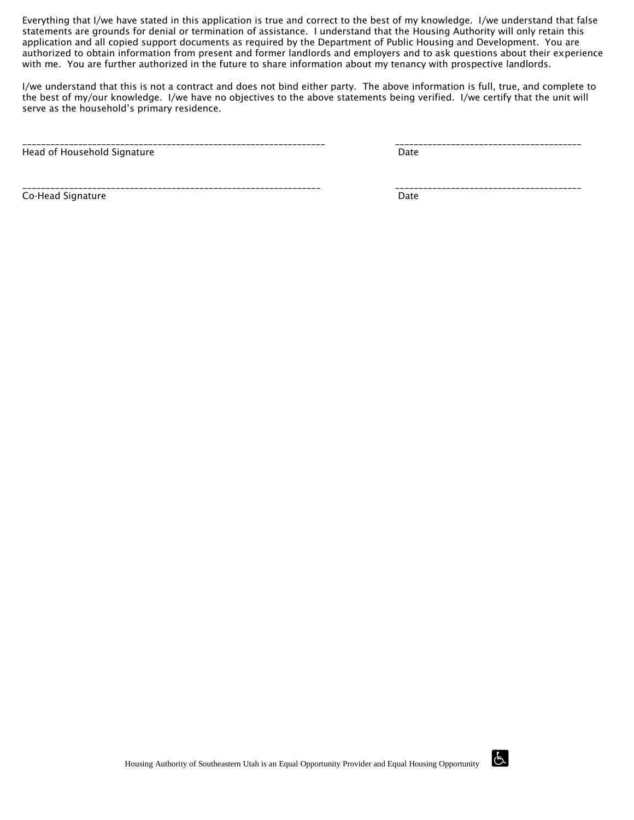Everything that I/we have stated in this application is true and correct to the best of my knowledge. I/we understand that false statements are grounds for denial or termination of assistance. I understand that the Housing Authority will only retain this application and all copied support documents as required by the Department of Public Housing and Development. You are authorized to obtain information from present and former landlords and employers and to ask questions about their experience with me. You are further authorized in the future to share information about my tenancy with prospective landlords.

I/we understand that this is not a contract and does not bind either party. The above information is full, true, and complete to the best of my/our knowledge. I/we have no objectives to the above statements being verified. I/we certify that the unit will serve as the household's primary residence.

\_\_\_\_\_\_\_\_\_\_\_\_\_\_\_\_\_\_\_\_\_\_\_\_\_\_\_\_\_\_\_\_\_\_\_\_\_\_\_\_\_\_\_\_\_\_\_\_\_\_\_\_\_\_\_\_\_\_\_\_\_\_\_\_\_ \_\_\_\_\_\_\_\_\_\_\_\_\_\_\_\_\_\_\_\_\_\_\_\_\_\_\_\_\_\_\_\_\_\_\_\_\_\_\_\_ Head of Household Signature **Date of American Structure Control** Date Date

Co-Head Signature **Date** Date of **Date 2018** 

\_\_\_\_\_\_\_\_\_\_\_\_\_\_\_\_\_\_\_\_\_\_\_\_\_\_\_\_\_\_\_\_\_\_\_\_\_\_\_\_\_\_\_\_\_\_\_\_\_\_\_\_\_\_\_\_\_\_\_\_\_\_\_\_ \_\_\_\_\_\_\_\_\_\_\_\_\_\_\_\_\_\_\_\_\_\_\_\_\_\_\_\_\_\_\_\_\_\_\_\_\_\_\_\_

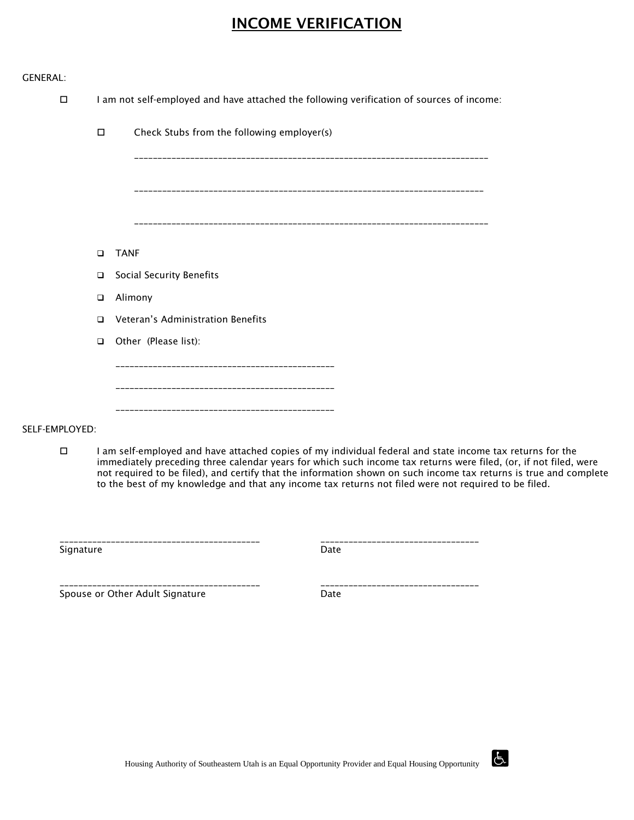## INCOME VERIFICATION

|  | GENERAL: |
|--|----------|
|  |          |

 $\square$  I am not self-employed and have attached the following verification of sources of income:

|        | П      | Check Stubs from the following employer(s) |
|--------|--------|--------------------------------------------|
|        |        |                                            |
|        |        |                                            |
|        |        |                                            |
|        | $\Box$ | <b>TANF</b>                                |
|        | $\Box$ | Social Security Benefits                   |
|        | $\Box$ | Alimony                                    |
|        | $\Box$ | Veteran's Administration Benefits          |
|        | $\Box$ | Other (Please list):                       |
|        |        |                                            |
|        |        | ------------------------------------       |
|        |        | ---------------------------------          |
| $\sim$ |        |                                            |

SELF-EMPLOYED:

 $\Box$  I am self-employed and have attached copies of my individual federal and state income tax returns for the immediately preceding three calendar years for which such income tax returns were filed, (or, if not filed, were not required to be filed), and certify that the information shown on such income tax returns is true and complete to the best of my knowledge and that any income tax returns not filed were not required to be filed.

Signature Date Date Date Date Date

\_\_\_\_\_\_\_\_\_\_\_\_\_\_\_\_\_\_\_\_\_\_\_\_\_\_\_\_\_\_\_\_\_\_\_\_\_\_\_\_\_\_\_ \_\_\_\_\_\_\_\_\_\_\_\_\_\_\_\_\_\_\_\_\_\_\_\_\_\_\_\_\_\_\_\_\_\_

Spouse or Other Adult Signature The Chate Date

\_\_\_\_\_\_\_\_\_\_\_\_\_\_\_\_\_\_\_\_\_\_\_\_\_\_\_\_\_\_\_\_\_\_\_\_\_\_\_\_\_\_\_ \_\_\_\_\_\_\_\_\_\_\_\_\_\_\_\_\_\_\_\_\_\_\_\_\_\_\_\_\_\_\_\_\_\_

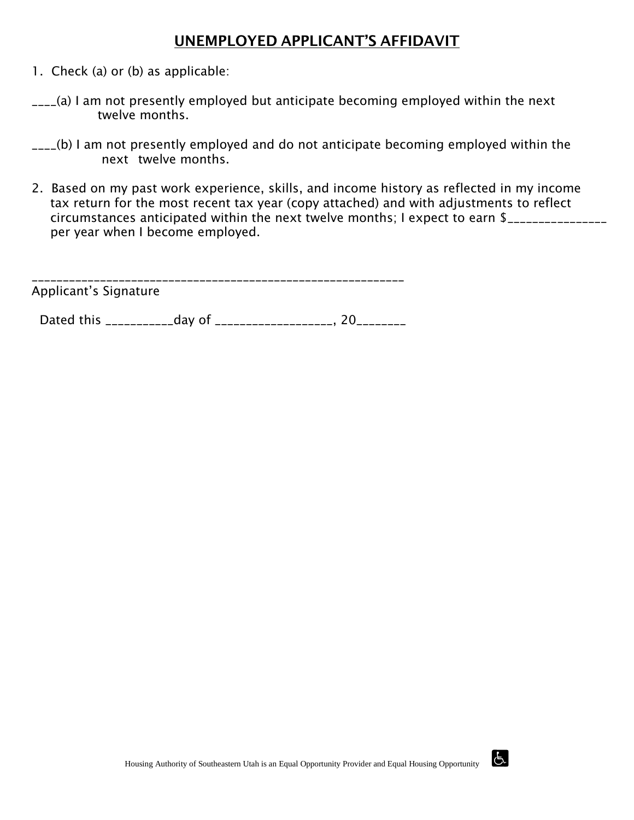### UNEMPLOYED APPLICANT'S AFFIDAVIT

- 1. Check (a) or (b) as applicable:
- \_\_\_\_(a) I am not presently employed but anticipate becoming employed within the next twelve months.
- \_\_\_\_(b) I am not presently employed and do not anticipate becoming employed within the next twelve months.
- 2. Based on my past work experience, skills, and income history as reflected in my income tax return for the most recent tax year (copy attached) and with adjustments to reflect circumstances anticipated within the next twelve months; I expect to earn \$\_\_\_\_\_\_\_\_\_\_\_\_\_\_\_\_ per year when I become employed.

Applicant's Signature

Dated this \_\_\_\_\_\_\_\_\_\_\_\_\_day of \_\_\_\_\_\_\_\_\_\_\_\_\_\_\_\_\_\_\_\_, 20\_\_\_\_\_\_\_\_\_

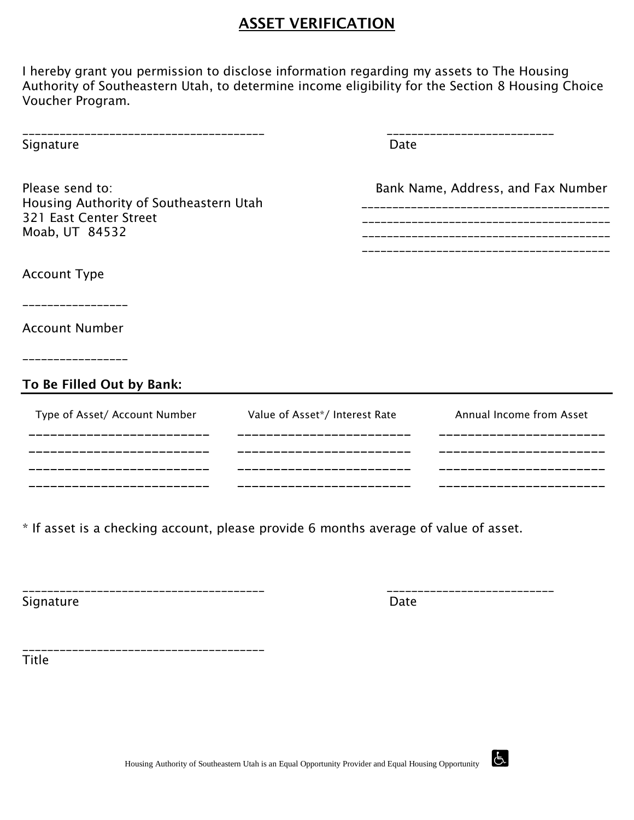## **ASSET VERIFICATION**

I hereby grant you permission to disclose information regarding my assets to The Housing Authority of Southeastern Utah, to determine income eligibility for the Section 8 Housing Choice Voucher Program.

| Signature                                                                                             | Date                           |                                    |
|-------------------------------------------------------------------------------------------------------|--------------------------------|------------------------------------|
| Please send to:<br>Housing Authority of Southeastern Utah<br>321 East Center Street<br>Moab, UT 84532 |                                | Bank Name, Address, and Fax Number |
| <b>Account Type</b>                                                                                   |                                |                                    |
| <b>Account Number</b>                                                                                 |                                |                                    |
| To Be Filled Out by Bank:                                                                             |                                |                                    |
| Type of Asset/ Account Number                                                                         | Value of Asset*/ Interest Rate | Annual Income from Asset           |

\_\_\_\_\_\_\_\_\_\_\_\_\_\_\_\_\_\_\_\_\_\_\_\_\_ \_\_\_\_\_\_\_\_\_\_\_\_\_\_\_\_\_\_\_\_\_\_\_\_ \_\_\_\_\_\_\_\_\_\_\_\_\_\_\_\_\_\_\_\_\_\_\_ \_\_\_\_\_\_\_\_\_\_\_\_\_\_\_\_\_\_\_\_\_\_\_\_\_ \_\_\_\_\_\_\_\_\_\_\_\_\_\_\_\_\_\_\_\_\_\_\_\_ \_\_\_\_\_\_\_\_\_\_\_\_\_\_\_\_\_\_\_\_\_\_\_ \_\_\_\_\_\_\_\_\_\_\_\_\_\_\_\_\_\_\_\_\_\_\_\_\_ \_\_\_\_\_\_\_\_\_\_\_\_\_\_\_\_\_\_\_\_\_\_\_\_ \_\_\_\_\_\_\_\_\_\_\_\_\_\_\_\_\_\_\_\_\_\_\_

\* If asset is a checking account, please provide 6 months average of value of asset.

\_\_\_\_\_\_\_\_\_\_\_\_\_\_\_\_\_\_\_\_\_\_\_\_\_\_\_\_\_\_\_\_\_\_\_\_\_\_\_ \_\_\_\_\_\_\_\_\_\_\_\_\_\_\_\_\_\_\_\_\_\_\_\_\_\_\_ Signature Date

\_\_\_\_\_\_\_\_\_\_\_\_\_\_\_\_\_\_\_\_\_\_\_\_\_\_\_\_\_\_\_\_\_\_\_\_\_\_\_

Title

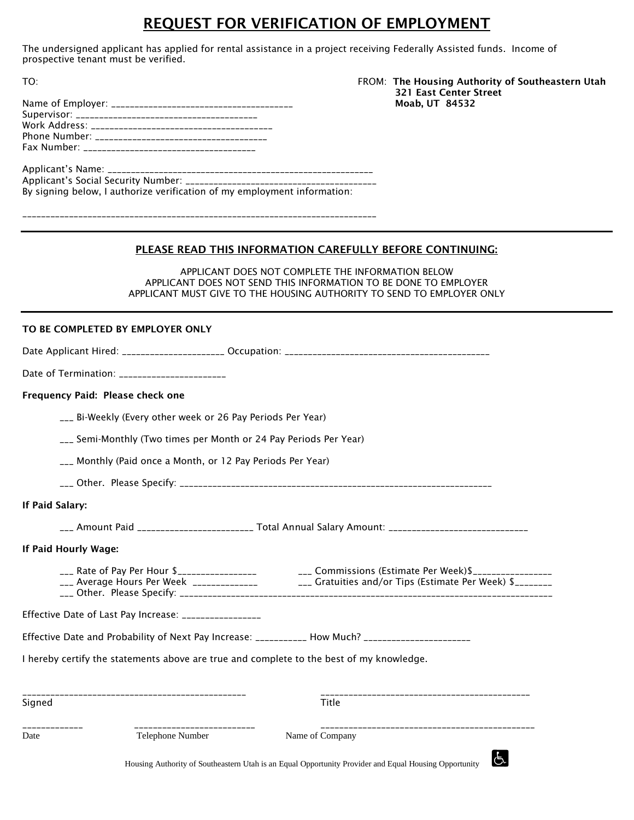### REQUEST FOR VERIFICATION OF EMPLOYMENT

The undersigned applicant has applied for rental assistance in a project receiving Federally Assisted funds. Income of prospective tenant must be verified.

#### TO: FROM: The Housing Authority of Southeastern Utah 321 East Center Street Moab, UT 84532

| By signing below, I authorize verification of my employment information: |
|--------------------------------------------------------------------------|

\_\_\_\_\_\_\_\_\_\_\_\_\_\_\_\_\_\_\_\_\_\_\_\_\_\_\_\_\_\_\_\_\_\_\_\_\_\_\_\_\_\_\_\_\_\_\_\_\_\_\_\_\_\_\_\_\_\_\_\_\_\_\_\_\_\_\_\_\_\_\_\_\_\_\_\_

#### PLEASE READ THIS INFORMATION CAREFULLY BEFORE CONTINUING:

APPLICANT DOES NOT COMPLETE THE INFORMATION BELOW APPLICANT DOES NOT SEND THIS INFORMATION TO BE DONE TO EMPLOYER APPLICANT MUST GIVE TO THE HOUSING AUTHORITY TO SEND TO EMPLOYER ONLY

#### TO BE COMPLETED BY EMPLOYER ONLY

| Date of Termination: _______________________                                             |                                                                                                                  |  |  |  |  |  |  |  |
|------------------------------------------------------------------------------------------|------------------------------------------------------------------------------------------------------------------|--|--|--|--|--|--|--|
| Frequency Paid: Please check one                                                         |                                                                                                                  |  |  |  |  |  |  |  |
| ___ Bi-Weekly (Every other week or 26 Pay Periods Per Year)                              |                                                                                                                  |  |  |  |  |  |  |  |
| ___ Semi-Monthly (Two times per Month or 24 Pay Periods Per Year)                        |                                                                                                                  |  |  |  |  |  |  |  |
| ___ Monthly (Paid once a Month, or 12 Pay Periods Per Year)                              |                                                                                                                  |  |  |  |  |  |  |  |
|                                                                                          |                                                                                                                  |  |  |  |  |  |  |  |
| If Paid Salary:                                                                          |                                                                                                                  |  |  |  |  |  |  |  |
|                                                                                          | ___ Amount Paid _______________________ Total Annual Salary Amount: ______________________________               |  |  |  |  |  |  |  |
| If Paid Hourly Wage:                                                                     |                                                                                                                  |  |  |  |  |  |  |  |
|                                                                                          | ___ Rate of Pay Per Hour \$___________________________________Commissions (Estimate Per Week)\$_________________ |  |  |  |  |  |  |  |
| Effective Date of Last Pay Increase: ________________                                    |                                                                                                                  |  |  |  |  |  |  |  |
|                                                                                          | Effective Date and Probability of Next Pay Increase: ___________ How Much? _______________________               |  |  |  |  |  |  |  |
| I hereby certify the statements above are true and complete to the best of my knowledge. |                                                                                                                  |  |  |  |  |  |  |  |
| Signed                                                                                   | <b>Title</b>                                                                                                     |  |  |  |  |  |  |  |
| ____________________________<br>Telephone Number<br>Date                                 | Name of Company<br>$\mathbf{r}$                                                                                  |  |  |  |  |  |  |  |

Housing Authority of Southeastern Utah is an Equal Opportunity Provider and Equal Housing Opportunity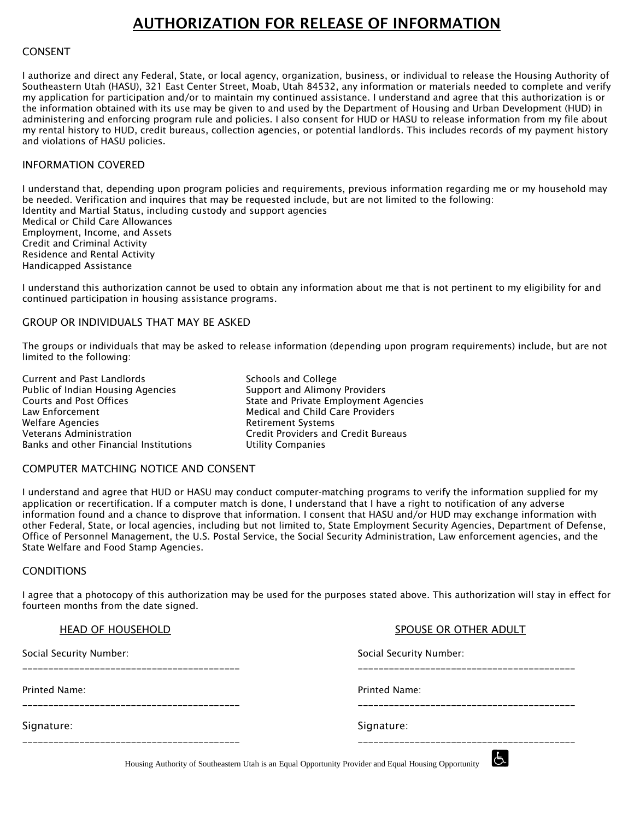### AUTHORIZATION FOR RELEASE OF INFORMATION

#### CONSENT

I authorize and direct any Federal, State, or local agency, organization, business, or individual to release the Housing Authority of Southeastern Utah (HASU), 321 East Center Street, Moab, Utah 84532, any information or materials needed to complete and verify my application for participation and/or to maintain my continued assistance. I understand and agree that this authorization is or the information obtained with its use may be given to and used by the Department of Housing and Urban Development (HUD) in administering and enforcing program rule and policies. I also consent for HUD or HASU to release information from my file about my rental history to HUD, credit bureaus, collection agencies, or potential landlords. This includes records of my payment history and violations of HASU policies.

#### INFORMATION COVERED

I understand that, depending upon program policies and requirements, previous information regarding me or my household may be needed. Verification and inquires that may be requested include, but are not limited to the following: Identity and Martial Status, including custody and support agencies

Medical or Child Care Allowances Employment, Income, and Assets Credit and Criminal Activity Residence and Rental Activity Handicapped Assistance

I understand this authorization cannot be used to obtain any information about me that is not pertinent to my eligibility for and continued participation in housing assistance programs.

#### GROUP OR INDIVIDUALS THAT MAY BE ASKED

The groups or individuals that may be asked to release information (depending upon program requirements) include, but are not limited to the following:

Current and Past Landlords Schools and College Public of Indian Housing Agencies Support and Alimony Providers Courts and Post Offices The State and Private Employment Agencies Law Enforcement Medical and Child Care Providers Welfare Agencies **Retirement Systems** Veterans Administration Credit Providers and Credit Bureaus Banks and other Financial Institutions Utility Companies

#### COMPUTER MATCHING NOTICE AND CONSENT

I understand and agree that HUD or HASU may conduct computer-matching programs to verify the information supplied for my application or recertification. If a computer match is done, I understand that I have a right to notification of any adverse information found and a chance to disprove that information. I consent that HASU and/or HUD may exchange information with other Federal, State, or local agencies, including but not limited to, State Employment Security Agencies, Department of Defense, Office of Personnel Management, the U.S. Postal Service, the Social Security Administration, Law enforcement agencies, and the State Welfare and Food Stamp Agencies.

#### **CONDITIONS**

I agree that a photocopy of this authorization may be used for the purposes stated above. This authorization will stay in effect for fourteen months from the date signed.

| HEAD OF HOUSEHOLD       | SPOUSE OR OTHER ADULT   |  |  |  |
|-------------------------|-------------------------|--|--|--|
| Social Security Number: | Social Security Number: |  |  |  |
| Printed Name:           | Printed Name:           |  |  |  |
| Signature:              | Signature:              |  |  |  |
|                         |                         |  |  |  |

Housing Authority of Southeastern Utah is an Equal Opportunity Provider and Equal Housing Opportunity

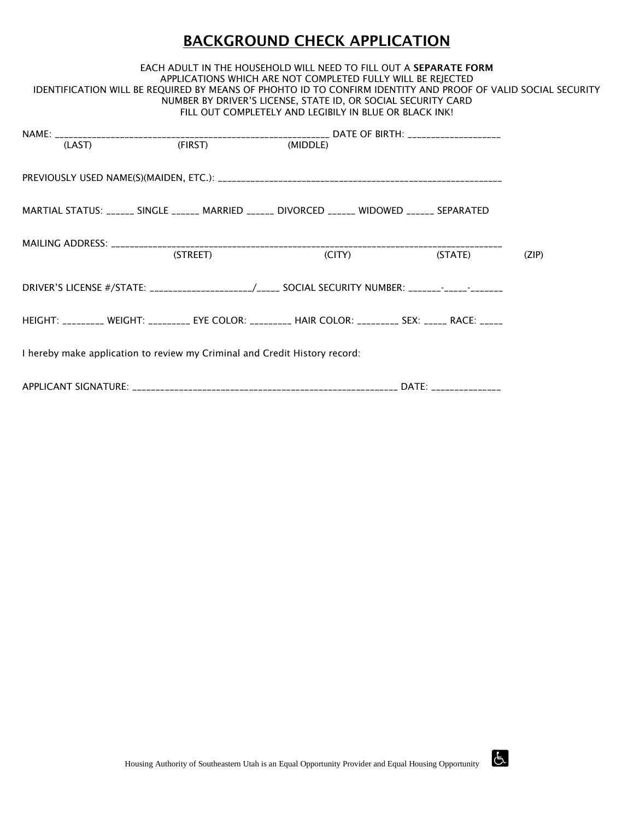## BACKGROUND CHECK APPLICATION

#### EACH ADULT IN THE HOUSEHOLD WILL NEED TO FILL OUT A SEPARATE FORM APPLICATIONS WHICH ARE NOT COMPLETED FULLY WILL BE REJECTED IDENTIFICATION WILL BE REQUIRED BY MEANS OF PHOHTO ID TO CONFIRM IDENTITY AND PROOF OF VALID SOCIAL SECURITY NUMBER BY DRIVER'S LICENSE, STATE ID, OR SOCIAL SECURITY CARD FILL OUT COMPLETELY AND LEGIBILY IN BLUE OR BLACK INK!

| (LAST)                                                                                                |          |  | (MIDDLE)                   |  |         |       |  |  |  |
|-------------------------------------------------------------------------------------------------------|----------|--|----------------------------|--|---------|-------|--|--|--|
|                                                                                                       |          |  |                            |  |         |       |  |  |  |
| MARTIAL STATUS: ______ SINGLE ______ MARRIED ______ DIVORCED ______ WIDOWED ______ SEPARATED          |          |  |                            |  |         |       |  |  |  |
|                                                                                                       | (STREET) |  | $\left(\text{CITY}\right)$ |  | (STATE) | (ZIP) |  |  |  |
| DRIVER'S LICENSE #/STATE: _____________________/_____ SOCIAL SECURITY NUMBER: _______-_____________   |          |  |                            |  |         |       |  |  |  |
| HEIGHT: _________ WEIGHT: _________ EYE COLOR: _________ HAIR COLOR: _________ SEX: _____ RACE: _____ |          |  |                            |  |         |       |  |  |  |
| I hereby make application to review my Criminal and Credit History record:                            |          |  |                            |  |         |       |  |  |  |
|                                                                                                       |          |  |                            |  |         |       |  |  |  |